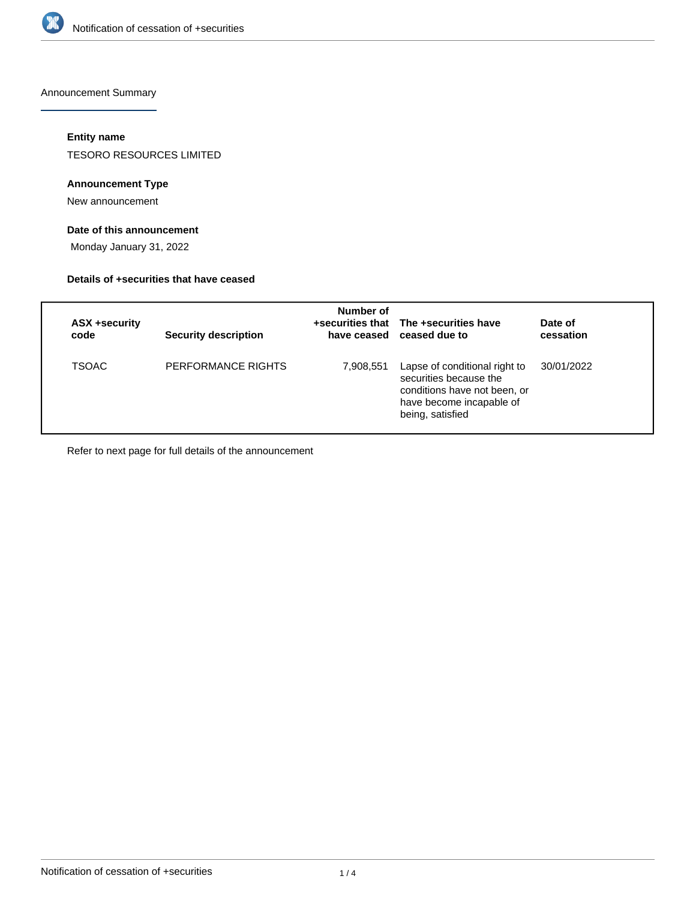

Announcement Summary

# **Entity name**

TESORO RESOURCES LIMITED

# **Announcement Type**

New announcement

# **Date of this announcement**

Monday January 31, 2022

#### **Details of +securities that have ceased**

| ASX +security<br>code | <b>Security description</b> | Number of | +securities that The +securities have<br>have ceased ceased due to                                                                      | Date of<br>cessation |
|-----------------------|-----------------------------|-----------|-----------------------------------------------------------------------------------------------------------------------------------------|----------------------|
| <b>TSOAC</b>          | PERFORMANCE RIGHTS          | 7,908,551 | Lapse of conditional right to<br>securities because the<br>conditions have not been, or<br>have become incapable of<br>being, satisfied | 30/01/2022           |

Refer to next page for full details of the announcement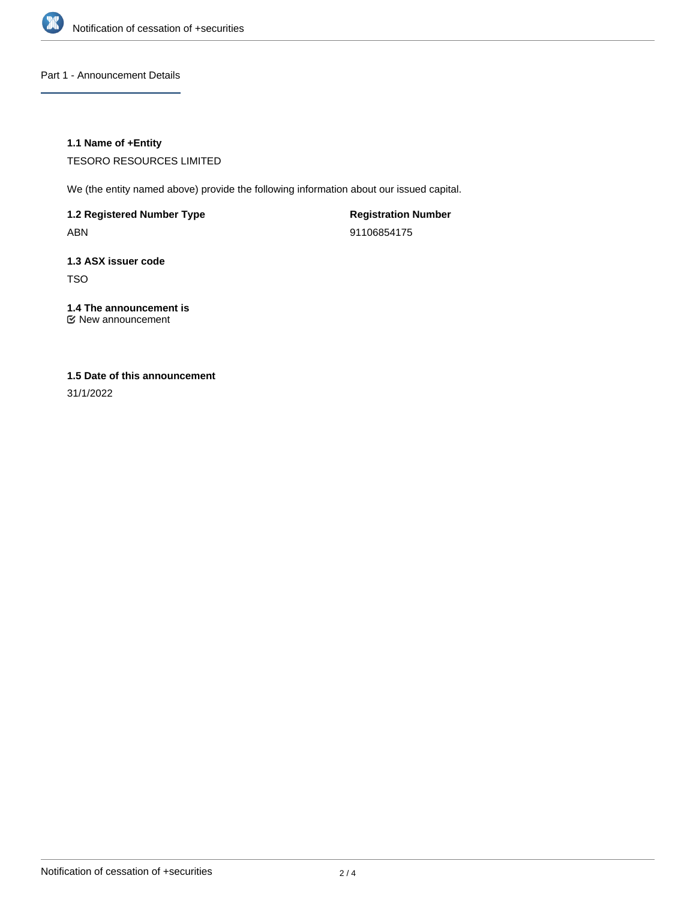

Part 1 - Announcement Details

# **1.1 Name of +Entity**

TESORO RESOURCES LIMITED

We (the entity named above) provide the following information about our issued capital.

**1.2 Registered Number Type**

ABN

**Registration Number** 91106854175

# **1.3 ASX issuer code** TSO

# **1.4 The announcement is**

New announcement

# **1.5 Date of this announcement**

31/1/2022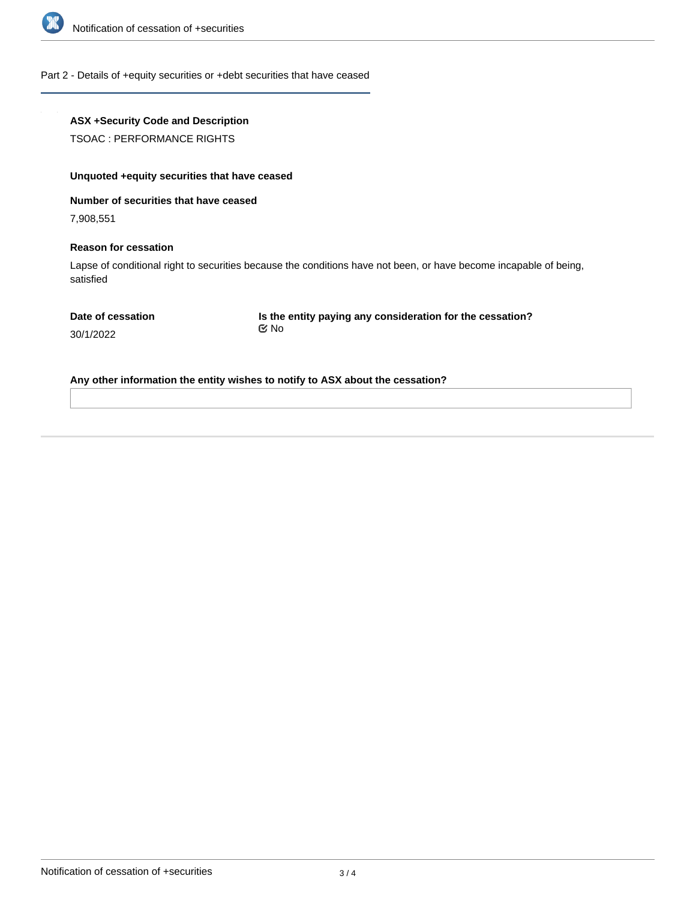

#### Part 2 - Details of +equity securities or +debt securities that have ceased

# **ASX +Security Code and Description**

TSOAC : PERFORMANCE RIGHTS

# **Unquoted +equity securities that have ceased**

#### **Number of securities that have ceased**

7,908,551

#### **Reason for cessation**

Lapse of conditional right to securities because the conditions have not been, or have become incapable of being, satisfied

**Is the entity paying any consideration for the cessation?** No

30/1/2022

# **Any other information the entity wishes to notify to ASX about the cessation?**